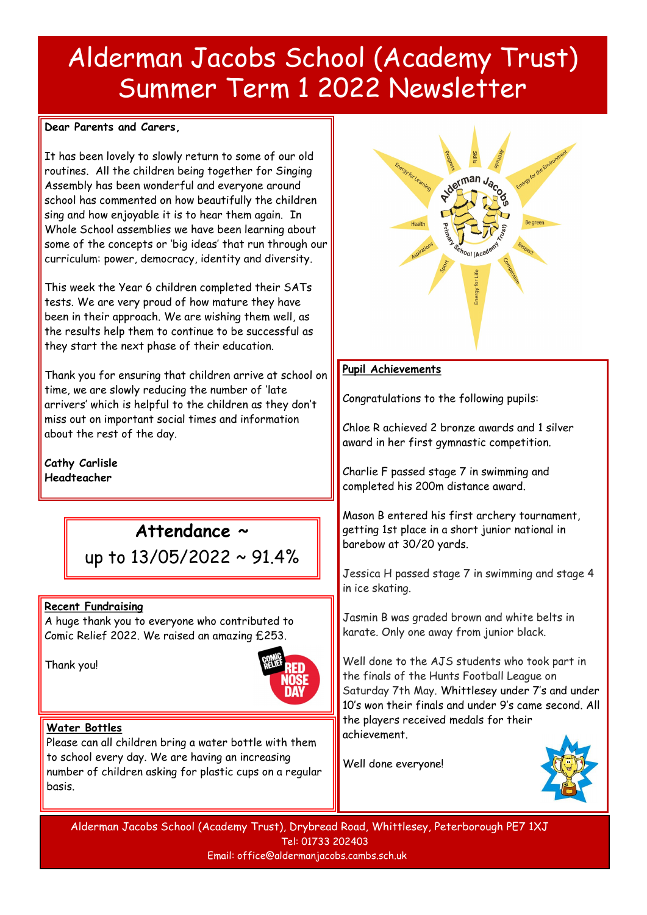## Alderman Jacobs School (Academy Trust) Summer Term 1 2022 Newsletter

#### **Dear Parents and Carers,**

It has been lovely to slowly return to some of our old routines. All the children being together for Singing Assembly has been wonderful and everyone around school has commented on how beautifully the children sing and how enjoyable it is to hear them again. In Whole School assemblies we have been learning about some of the concepts or 'big ideas' that run through our curriculum: power, democracy, identity and diversity.

This week the Year 6 children completed their SATs tests. We are very proud of how mature they have been in their approach. We are wishing them well, as the results help them to continue to be successful as they start the next phase of their education.

Thank you for ensuring that children arrive at school on time, we are slowly reducing the number of 'late arrivers' which is helpful to the children as they don't miss out on important social times and information about the rest of the day.

**Cathy Carlisle Headteacher**

## **Attendance ~**

up to 13/05/2022 ~ 91.4%

#### **Recent Fundraising**

A huge thank you to everyone who contributed to Comic Relief 2022. We raised an amazing £253.

Thank you!



#### **Water Bottles**

Please can all children bring a water bottle with them to school every day. We are having an increasing number of children asking for plastic cups on a regular basis.



#### **Pupil Achievements**

Congratulations to the following pupils:

Chloe R achieved 2 bronze awards and 1 silver award in her first gymnastic competition.

Charlie F passed stage 7 in swimming and completed his 200m distance award.

Mason B entered his first archery tournament, getting 1st place in a short junior national in barebow at 30/20 yards.

Jessica H passed stage 7 in swimming and stage 4 in ice skating.

Jasmin B was graded brown and white belts in karate. Only one away from junior black.

Well done to the AJS students who took part in the finals of the Hunts Football League on Saturday 7th May. Whittlesey under 7's and under 10's won their finals and under 9's came second. All the players received medals for their achievement.

Well done everyone!

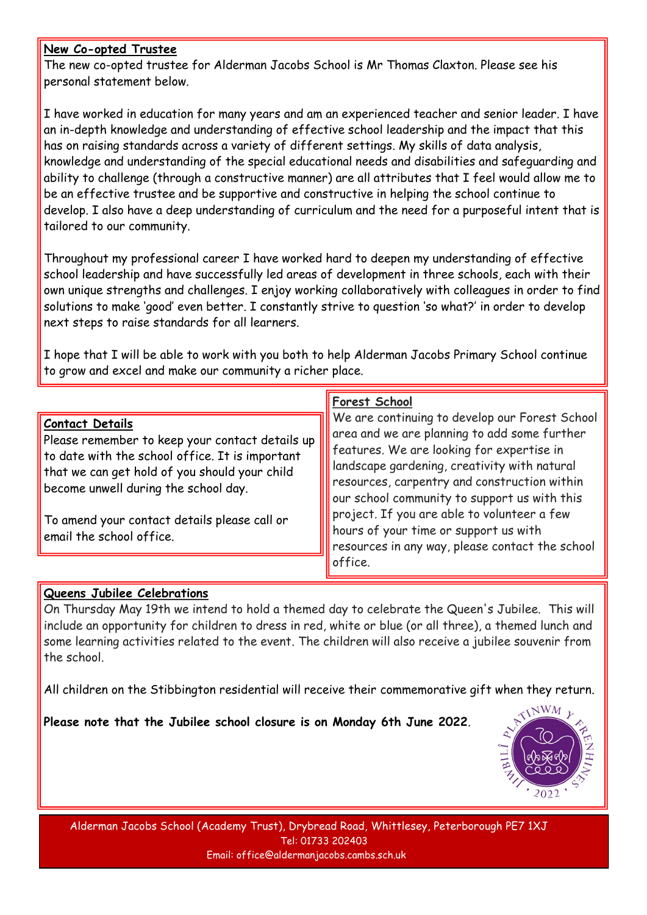#### **New Co-opted Trustee**

The new co-opted trustee for Alderman Jacobs School is Mr Thomas Claxton. Please see his personal statement below.

I have worked in education for many years and am an experienced teacher and senior leader. I have an in-depth knowledge and understanding of effective school leadership and the impact that this has on raising standards across a variety of different settings. My skills of data analysis, knowledge and understanding of the special educational needs and disabilities and safeguarding and ability to challenge (through a constructive manner) are all attributes that I feel would allow me to be an effective trustee and be supportive and constructive in helping the school continue to develop. I also have a deep understanding of curriculum and the need for a purposeful intent that is tailored to our community.

Throughout my professional career I have worked hard to deepen my understanding of effective school leadership and have successfully led areas of development in three schools, each with their own unique strengths and challenges. I enjoy working collaboratively with colleagues in order to find solutions to make 'good' even better. I constantly strive to question 'so what?' in order to develop next steps to raise standards for all learners.

I hope that I will be able to work with you both to help Alderman Jacobs Primary School continue to grow and excel and make our community a richer place.

| <b>Contact Details</b><br>Please remember to keep your contact details up<br>to date with the school office. It is important<br>that we can get hold of you should your child<br>become unwell during the school day.<br>To amend your contact details please call or<br>email the school office. | We are continuing to develop our Forest School<br>area and we are planning to add some further<br>features. We are looking for expertise in<br>landscape gardening, creativity with natural<br>resources, carpentry and construction within<br>our school community to support us with this<br>project. If you are able to volunteer a few<br>hours of your time or support us with<br>resources in any way, please contact the school<br>office. |
|---------------------------------------------------------------------------------------------------------------------------------------------------------------------------------------------------------------------------------------------------------------------------------------------------|---------------------------------------------------------------------------------------------------------------------------------------------------------------------------------------------------------------------------------------------------------------------------------------------------------------------------------------------------------------------------------------------------------------------------------------------------|

#### **Queens Jubilee Celebrations**

On Thursday May 19th we intend to hold a themed day to celebrate the Queen's Jubilee. This will include an opportunity for children to dress in red, white or blue (or all three), a themed lunch and some learning activities related to the event. The children will also receive a jubilee souvenir from the school.

All children on the Stibbington residential will receive their commemorative gift when they return.

**Please note that the Jubilee school closure is on Monday 6th June 2022**.

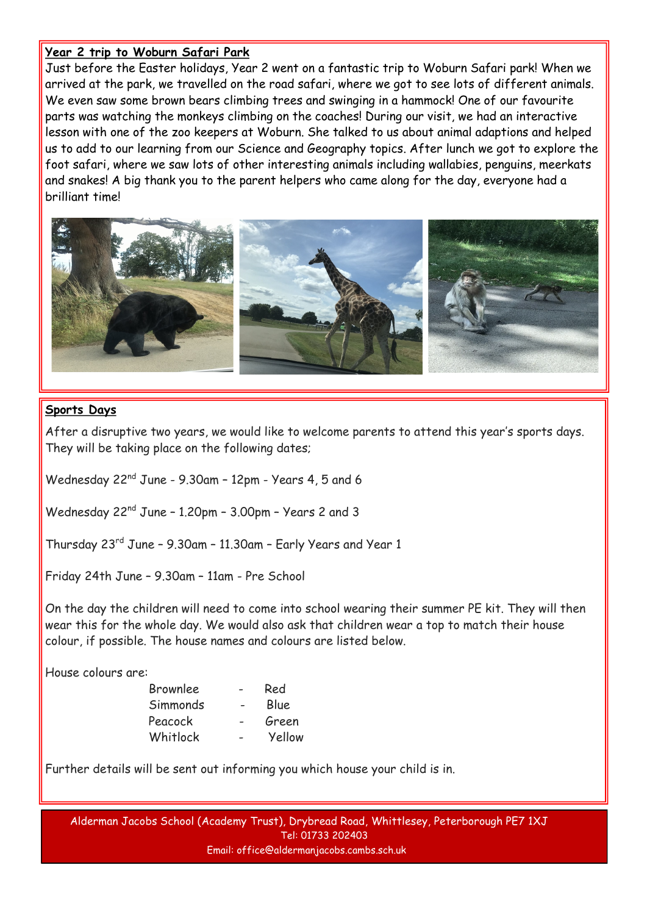#### **Year 2 trip to Woburn Safari Park**

Just before the Easter holidays, Year 2 went on a fantastic trip to Woburn Safari park! When we arrived at the park, we travelled on the road safari, where we got to see lots of different animals. We even saw some brown bears climbing trees and swinging in a hammock! One of our favourite parts was watching the monkeys climbing on the coaches! During our visit, we had an interactive lesson with one of the zoo keepers at Woburn. She talked to us about animal adaptions and helped us to add to our learning from our Science and Geography topics. After lunch we got to explore the foot safari, where we saw lots of other interesting animals including wallabies, penguins, meerkats and snakes! A big thank you to the parent helpers who came along for the day, everyone had a brilliant time!



#### **Sports Days**

After a disruptive two years, we would like to welcome parents to attend this year's sports days. They will be taking place on the following dates;

Wednesday 22nd June - 9.30am – 12pm - Years 4, 5 and 6

Wednesday 22nd June – 1.20pm – 3.00pm – Years 2 and 3

Thursday 23rd June – 9.30am – 11.30am – Early Years and Year 1

Friday 24th June – 9.30am – 11am - Pre School

On the day the children will need to come into school wearing their summer PE kit. They will then wear this for the whole day. We would also ask that children wear a top to match their house colour, if possible. The house names and colours are listed below.

House colours are:

| <b>Brownlee</b> | Red    |
|-----------------|--------|
| Simmonds        | Blue   |
| Peacock         | Green  |
| Whitlock        | Yellow |

Further details will be sent out informing you which house your child is in.

Email: office@aldermanjacobs.cambs.sch.uk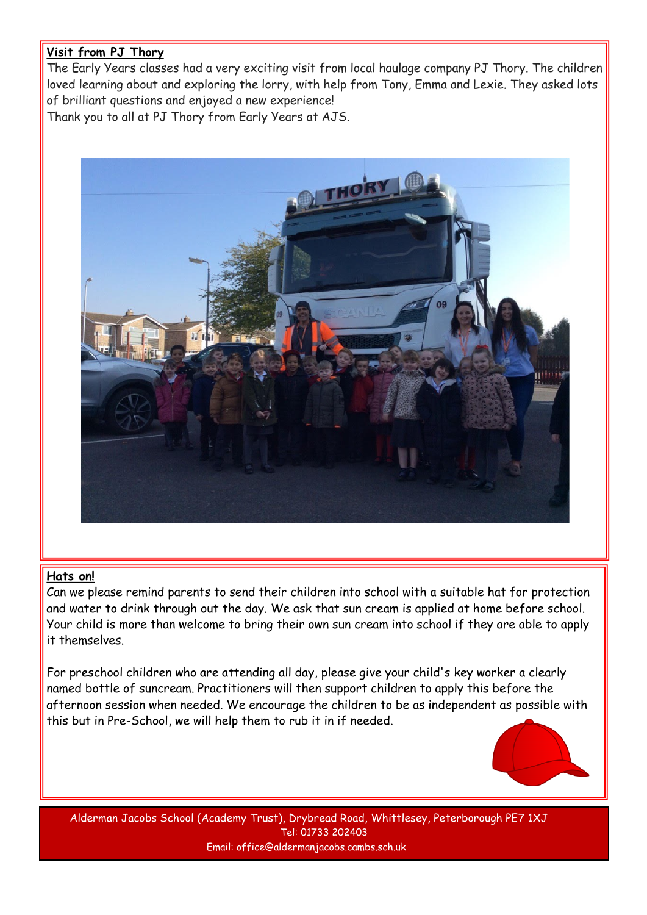#### **Visit from PJ Thory**

The Early Years classes had a very exciting visit from local haulage company PJ Thory. The children loved learning about and exploring the lorry, with help from Tony, Emma and Lexie. They asked lots of brilliant questions and enjoyed a new experience! Thank you to all at PJ Thory from Early Years at AJS.



#### **Hats on!**

Can we please remind parents to send their children into school with a suitable hat for protection and water to drink through out the day. We ask that sun cream is applied at home before school. Your child is more than welcome to bring their own sun cream into school if they are able to apply it themselves.

For preschool children who are attending all day, please give your child's key worker a clearly named bottle of suncream. Practitioners will then support children to apply this before the afternoon session when needed. We encourage the children to be as independent as possible with this but in Pre-School, we will help them to rub it in if needed.